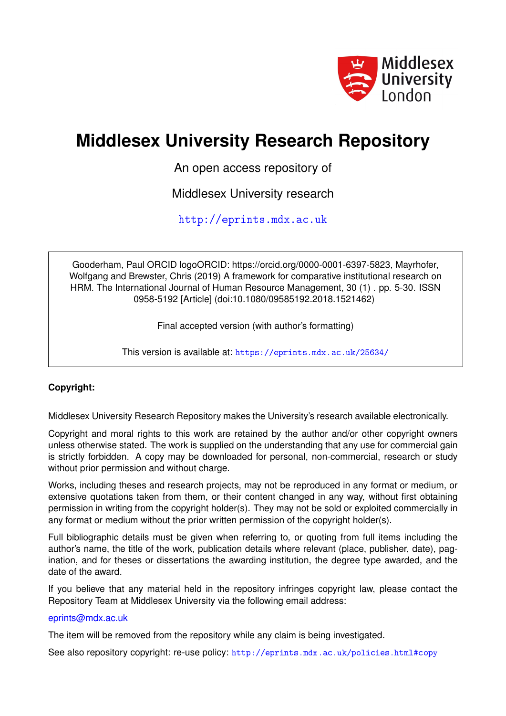

# **Middlesex University Research Repository**

An open access repository of

Middlesex University research

<http://eprints.mdx.ac.uk>

Gooderham, Paul ORCID logoORCID: https://orcid.org/0000-0001-6397-5823, Mayrhofer, Wolfgang and Brewster, Chris (2019) A framework for comparative institutional research on HRM. The International Journal of Human Resource Management, 30 (1) . pp. 5-30. ISSN 0958-5192 [Article] (doi:10.1080/09585192.2018.1521462)

Final accepted version (with author's formatting)

This version is available at: <https://eprints.mdx.ac.uk/25634/>

### **Copyright:**

Middlesex University Research Repository makes the University's research available electronically.

Copyright and moral rights to this work are retained by the author and/or other copyright owners unless otherwise stated. The work is supplied on the understanding that any use for commercial gain is strictly forbidden. A copy may be downloaded for personal, non-commercial, research or study without prior permission and without charge.

Works, including theses and research projects, may not be reproduced in any format or medium, or extensive quotations taken from them, or their content changed in any way, without first obtaining permission in writing from the copyright holder(s). They may not be sold or exploited commercially in any format or medium without the prior written permission of the copyright holder(s).

Full bibliographic details must be given when referring to, or quoting from full items including the author's name, the title of the work, publication details where relevant (place, publisher, date), pagination, and for theses or dissertations the awarding institution, the degree type awarded, and the date of the award.

If you believe that any material held in the repository infringes copyright law, please contact the Repository Team at Middlesex University via the following email address:

#### [eprints@mdx.ac.uk](mailto:eprints@mdx.ac.uk)

The item will be removed from the repository while any claim is being investigated.

See also repository copyright: re-use policy: <http://eprints.mdx.ac.uk/policies.html#copy>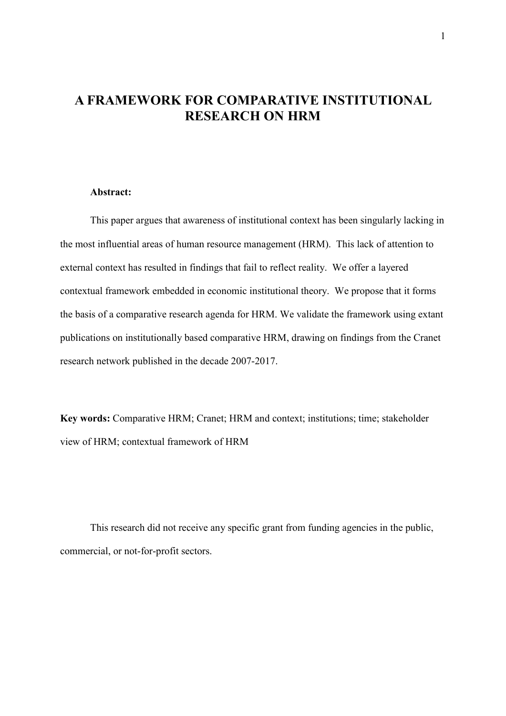# **A FRAMEWORK FOR COMPARATIVE INSTITUTIONAL RESEARCH ON HRM**

#### **Abstract:**

This paper argues that awareness of institutional context has been singularly lacking in the most influential areas of human resource management (HRM). This lack of attention to external context has resulted in findings that fail to reflect reality. We offer a layered contextual framework embedded in economic institutional theory. We propose that it forms the basis of a comparative research agenda for HRM. We validate the framework using extant publications on institutionally based comparative HRM, drawing on findings from the Cranet research network published in the decade 2007-2017.

**Key words:** Comparative HRM; Cranet; HRM and context; institutions; time; stakeholder view of HRM; contextual framework of HRM

This research did not receive any specific grant from funding agencies in the public, commercial, or not-for-profit sectors.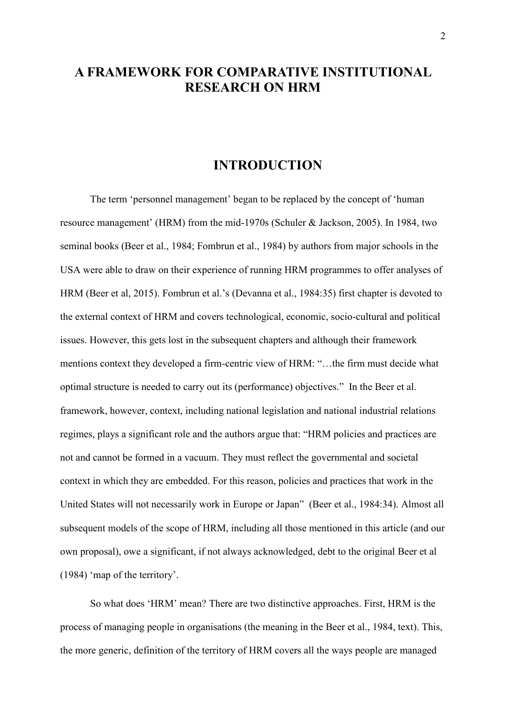# **A FRAMEWORK FOR COMPARATIVE INSTITUTIONAL RESEARCH ON HRM**

### **INTRODUCTION**

The term 'personnel management' began to be replaced by the concept of 'human resource management' (HRM) from the mid-1970s (Schuler & Jackson, 2005). In 1984, two seminal books (Beer et al., 1984; Fombrun et al., 1984) by authors from major schools in the USA were able to draw on their experience of running HRM programmes to offer analyses of HRM (Beer et al, 2015). Fombrun et al.'s (Devanna et al., 1984:35) first chapter is devoted to the external context of HRM and covers technological, economic, socio-cultural and political issues. However, this gets lost in the subsequent chapters and although their framework mentions context they developed a firm-centric view of HRM: "…the firm must decide what optimal structure is needed to carry out its (performance) objectives." In the Beer et al. framework, however, context, including national legislation and national industrial relations regimes, plays a significant role and the authors argue that: "HRM policies and practices are not and cannot be formed in a vacuum. They must reflect the governmental and societal context in which they are embedded. For this reason, policies and practices that work in the United States will not necessarily work in Europe or Japan" (Beer et al., 1984:34). Almost all subsequent models of the scope of HRM, including all those mentioned in this article (and our own proposal), owe a significant, if not always acknowledged, debt to the original Beer et al (1984) 'map of the territory'.

So what does 'HRM' mean? There are two distinctive approaches. First, HRM is the process of managing people in organisations (the meaning in the Beer et al., 1984, text). This, the more generic, definition of the territory of HRM covers all the ways people are managed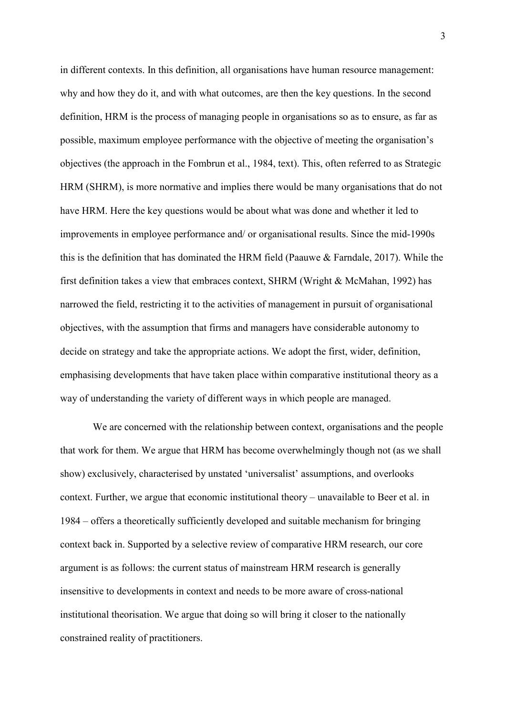in different contexts. In this definition, all organisations have human resource management: why and how they do it, and with what outcomes, are then the key questions. In the second definition, HRM is the process of managing people in organisations so as to ensure, as far as possible, maximum employee performance with the objective of meeting the organisation's objectives (the approach in the Fombrun et al., 1984, text). This, often referred to as Strategic HRM (SHRM), is more normative and implies there would be many organisations that do not have HRM. Here the key questions would be about what was done and whether it led to improvements in employee performance and/ or organisational results. Since the mid-1990s this is the definition that has dominated the HRM field (Paauwe & Farndale, 2017). While the first definition takes a view that embraces context, SHRM (Wright & McMahan, 1992) has narrowed the field, restricting it to the activities of management in pursuit of organisational objectives, with the assumption that firms and managers have considerable autonomy to decide on strategy and take the appropriate actions. We adopt the first, wider, definition, emphasising developments that have taken place within comparative institutional theory as a way of understanding the variety of different ways in which people are managed.

We are concerned with the relationship between context, organisations and the people that work for them. We argue that HRM has become overwhelmingly though not (as we shall show) exclusively, characterised by unstated 'universalist' assumptions, and overlooks context. Further, we argue that economic institutional theory – unavailable to Beer et al. in 1984 – offers a theoretically sufficiently developed and suitable mechanism for bringing context back in. Supported by a selective review of comparative HRM research, our core argument is as follows: the current status of mainstream HRM research is generally insensitive to developments in context and needs to be more aware of cross-national institutional theorisation. We argue that doing so will bring it closer to the nationally constrained reality of practitioners.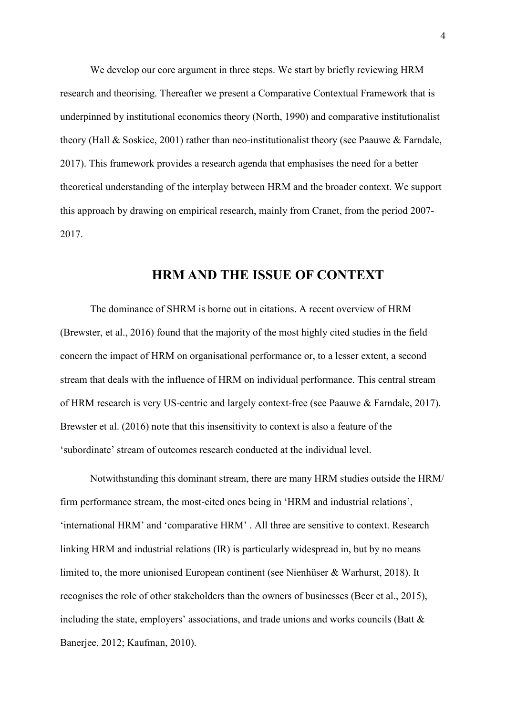We develop our core argument in three steps. We start by briefly reviewing HRM research and theorising. Thereafter we present a Comparative Contextual Framework that is underpinned by institutional economics theory (North, 1990) and comparative institutionalist theory (Hall & Soskice, 2001) rather than neo-institutionalist theory (see Paauwe & Farndale, 2017). This framework provides a research agenda that emphasises the need for a better theoretical understanding of the interplay between HRM and the broader context. We support this approach by drawing on empirical research, mainly from Cranet, from the period 2007- 2017.

### **HRM AND THE ISSUE OF CONTEXT**

The dominance of SHRM is borne out in citations. A recent overview of HRM (Brewster, et al., 2016) found that the majority of the most highly cited studies in the field concern the impact of HRM on organisational performance or, to a lesser extent, a second stream that deals with the influence of HRM on individual performance. This central stream of HRM research is very US-centric and largely context-free (see Paauwe & Farndale, 2017). Brewster et al. (2016) note that this insensitivity to context is also a feature of the 'subordinate' stream of outcomes research conducted at the individual level.

Notwithstanding this dominant stream, there are many HRM studies outside the HRM/ firm performance stream, the most-cited ones being in 'HRM and industrial relations', 'international HRM' and 'comparative HRM' . All three are sensitive to context. Research linking HRM and industrial relations (IR) is particularly widespread in, but by no means limited to, the more unionised European continent (see Nienhüser & Warhurst, 2018). It recognises the role of other stakeholders than the owners of businesses (Beer et al., 2015), including the state, employers' associations, and trade unions and works councils (Batt & Banerjee, 2012; Kaufman, 2010).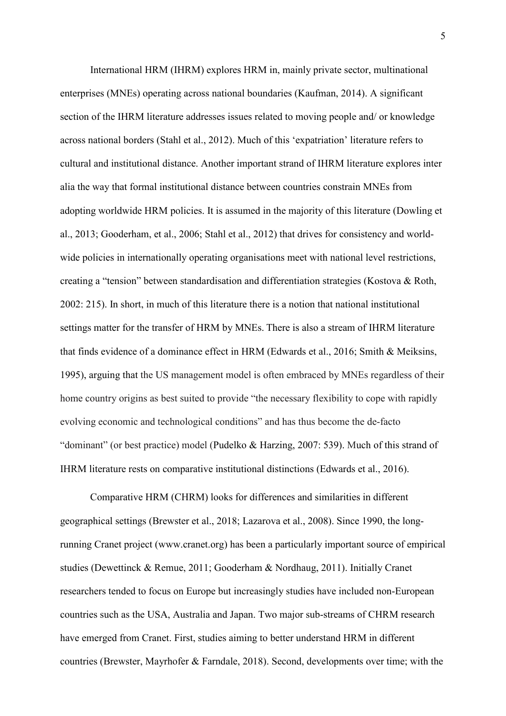International HRM (IHRM) explores HRM in, mainly private sector, multinational enterprises (MNEs) operating across national boundaries (Kaufman, 2014). A significant section of the IHRM literature addresses issues related to moving people and/ or knowledge across national borders (Stahl et al., 2012). Much of this 'expatriation' literature refers to cultural and institutional distance. Another important strand of IHRM literature explores inter alia the way that formal institutional distance between countries constrain MNEs from adopting worldwide HRM policies. It is assumed in the majority of this literature (Dowling et al., 2013; Gooderham, et al., 2006; Stahl et al., 2012) that drives for consistency and worldwide policies in internationally operating organisations meet with national level restrictions, creating a "tension" between standardisation and differentiation strategies (Kostova & Roth, 2002: 215). In short, in much of this literature there is a notion that national institutional settings matter for the transfer of HRM by MNEs. There is also a stream of IHRM literature that finds evidence of a dominance effect in HRM (Edwards et al., 2016; Smith & Meiksins, 1995), arguing that the US management model is often embraced by MNEs regardless of their home country origins as best suited to provide "the necessary flexibility to cope with rapidly evolving economic and technological conditions" and has thus become the de-facto "dominant" (or best practice) model (Pudelko & Harzing, 2007: 539). Much of this strand of IHRM literature rests on comparative institutional distinctions (Edwards et al., 2016).

Comparative HRM (CHRM) looks for differences and similarities in different geographical settings (Brewster et al., 2018; Lazarova et al., 2008). Since 1990, the longrunning Cranet project [\(www.cranet.org\)](http://www.cranet.org/) has been a particularly important source of empirical studies (Dewettinck & Remue, 2011; Gooderham & Nordhaug, 2011). Initially Cranet researchers tended to focus on Europe but increasingly studies have included non-European countries such as the USA, Australia and Japan. Two major sub-streams of CHRM research have emerged from Cranet. First, studies aiming to better understand HRM in different countries (Brewster, Mayrhofer & Farndale, 2018). Second, developments over time; with the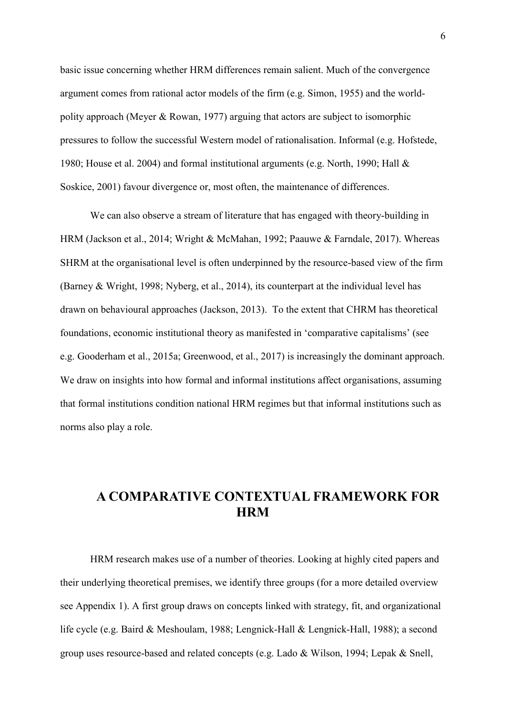basic issue concerning whether HRM differences remain salient. Much of the convergence argument comes from rational actor models of the firm (e.g. Simon, 1955) and the worldpolity approach (Meyer & Rowan, 1977) arguing that actors are subject to isomorphic pressures to follow the successful Western model of rationalisation. Informal (e.g. Hofstede, 1980; House et al. 2004) and formal institutional arguments (e.g. North, 1990; Hall & Soskice, 2001) favour divergence or, most often, the maintenance of differences.

We can also observe a stream of literature that has engaged with theory-building in HRM (Jackson et al., 2014; Wright & McMahan, 1992; Paauwe & Farndale, 2017). Whereas SHRM at the organisational level is often underpinned by the resource-based view of the firm (Barney & Wright, 1998; Nyberg, et al., 2014), its counterpart at the individual level has drawn on behavioural approaches (Jackson, 2013). To the extent that CHRM has theoretical foundations, economic institutional theory as manifested in 'comparative capitalisms' (see e.g. Gooderham et al., 2015a; Greenwood, et al., 2017) is increasingly the dominant approach. We draw on insights into how formal and informal institutions affect organisations, assuming that formal institutions condition national HRM regimes but that informal institutions such as norms also play a role.

## **A COMPARATIVE CONTEXTUAL FRAMEWORK FOR HRM**

HRM research makes use of a number of theories. Looking at highly cited papers and their underlying theoretical premises, we identify three groups (for a more detailed overview see Appendix 1). A first group draws on concepts linked with strategy, fit, and organizational life cycle (e.g. Baird & Meshoulam, 1988; Lengnick-Hall & Lengnick-Hall, 1988); a second group uses resource-based and related concepts (e.g. Lado & Wilson, 1994; Lepak & Snell,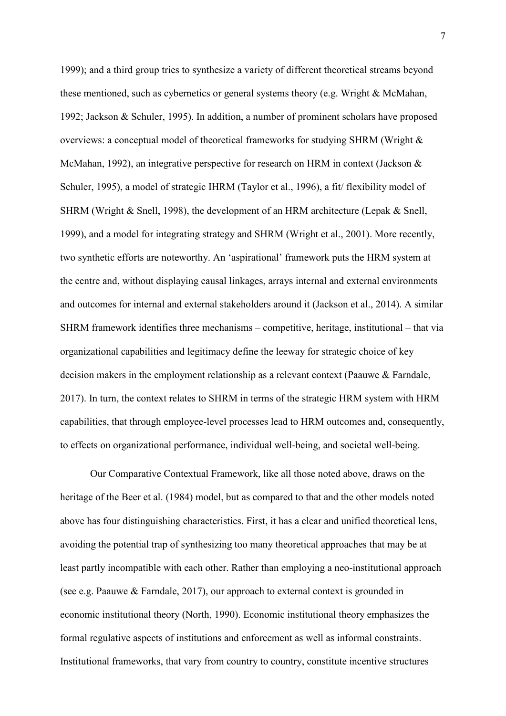1999); and a third group tries to synthesize a variety of different theoretical streams beyond these mentioned, such as cybernetics or general systems theory (e.g. Wright & McMahan, 1992; Jackson & Schuler, 1995). In addition, a number of prominent scholars have proposed overviews: a conceptual model of theoretical frameworks for studying SHRM (Wright & McMahan, 1992), an integrative perspective for research on HRM in context (Jackson & Schuler, 1995), a model of strategic IHRM (Taylor et al., 1996), a fit/ flexibility model of SHRM (Wright & Snell, 1998), the development of an HRM architecture (Lepak & Snell, 1999), and a model for integrating strategy and SHRM (Wright et al., 2001). More recently, two synthetic efforts are noteworthy. An 'aspirational' framework puts the HRM system at the centre and, without displaying causal linkages, arrays internal and external environments and outcomes for internal and external stakeholders around it (Jackson et al., 2014). A similar SHRM framework identifies three mechanisms – competitive, heritage, institutional – that via organizational capabilities and legitimacy define the leeway for strategic choice of key decision makers in the employment relationship as a relevant context (Paauwe & Farndale, 2017). In turn, the context relates to SHRM in terms of the strategic HRM system with HRM capabilities, that through employee-level processes lead to HRM outcomes and, consequently, to effects on organizational performance, individual well-being, and societal well-being.

Our Comparative Contextual Framework, like all those noted above, draws on the heritage of the Beer et al. (1984) model, but as compared to that and the other models noted above has four distinguishing characteristics. First, it has a clear and unified theoretical lens, avoiding the potential trap of synthesizing too many theoretical approaches that may be at least partly incompatible with each other. Rather than employing a neo-institutional approach (see e.g. Paauwe & Farndale, 2017), our approach to external context is grounded in economic institutional theory (North, 1990). Economic institutional theory emphasizes the formal regulative aspects of institutions and enforcement as well as informal constraints. Institutional frameworks, that vary from country to country, constitute incentive structures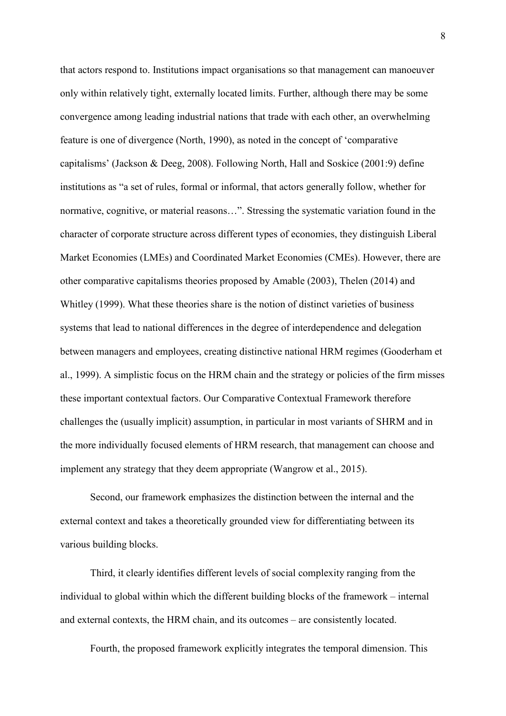that actors respond to. Institutions impact organisations so that management can manoeuver only within relatively tight, externally located limits. Further, although there may be some convergence among leading industrial nations that trade with each other, an overwhelming feature is one of divergence (North, 1990), as noted in the concept of 'comparative capitalisms' (Jackson & Deeg, 2008). Following North, Hall and Soskice (2001:9) define institutions as "a set of rules, formal or informal, that actors generally follow, whether for normative, cognitive, or material reasons…". Stressing the systematic variation found in the character of corporate structure across different types of economies, they distinguish Liberal Market Economies (LMEs) and Coordinated Market Economies (CMEs). However, there are other comparative capitalisms theories proposed by Amable (2003), Thelen (2014) and Whitley (1999). What these theories share is the notion of distinct varieties of business systems that lead to national differences in the degree of interdependence and delegation between managers and employees, creating distinctive national HRM regimes (Gooderham et al., 1999). A simplistic focus on the HRM chain and the strategy or policies of the firm misses these important contextual factors. Our Comparative Contextual Framework therefore challenges the (usually implicit) assumption, in particular in most variants of SHRM and in the more individually focused elements of HRM research, that management can choose and implement any strategy that they deem appropriate (Wangrow et al., 2015).

Second, our framework emphasizes the distinction between the internal and the external context and takes a theoretically grounded view for differentiating between its various building blocks.

Third, it clearly identifies different levels of social complexity ranging from the individual to global within which the different building blocks of the framework – internal and external contexts, the HRM chain, and its outcomes – are consistently located.

Fourth, the proposed framework explicitly integrates the temporal dimension. This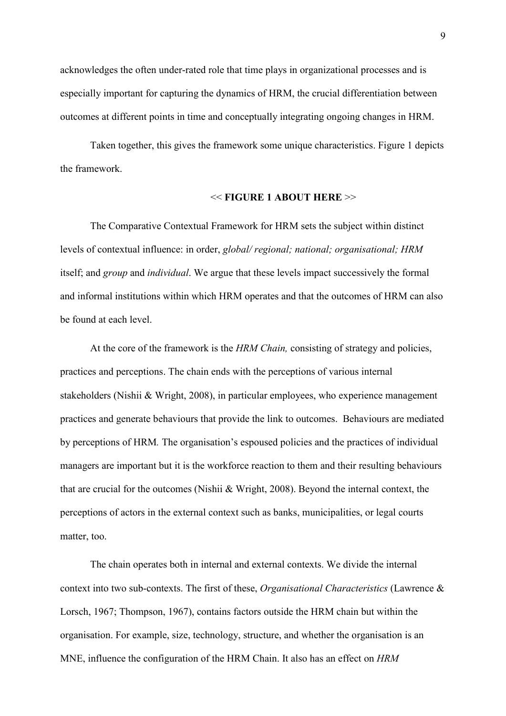acknowledges the often under-rated role that time plays in organizational processes and is especially important for capturing the dynamics of HRM, the crucial differentiation between outcomes at different points in time and conceptually integrating ongoing changes in HRM.

Taken together, this gives the framework some unique characteristics. Figure 1 depicts the framework.

#### << **FIGURE 1 ABOUT HERE** >>

The Comparative Contextual Framework for HRM sets the subject within distinct levels of contextual influence: in order, *global/ regional; national; organisational; HRM* itself; and *group* and *individual*. We argue that these levels impact successively the formal and informal institutions within which HRM operates and that the outcomes of HRM can also be found at each level.

At the core of the framework is the *HRM Chain,* consisting of strategy and policies, practices and perceptions. The chain ends with the perceptions of various internal stakeholders (Nishii & Wright, 2008), in particular employees, who experience management practices and generate behaviours that provide the link to outcomes. Behaviours are mediated by perceptions of HRM*.* The organisation's espoused policies and the practices of individual managers are important but it is the workforce reaction to them and their resulting behaviours that are crucial for the outcomes (Nishii & Wright, 2008). Beyond the internal context, the perceptions of actors in the external context such as banks, municipalities, or legal courts matter, too.

The chain operates both in internal and external contexts. We divide the internal context into two sub-contexts. The first of these, *Organisational Characteristics* (Lawrence & Lorsch, 1967; Thompson, 1967), contains factors outside the HRM chain but within the organisation. For example, size, technology, structure, and whether the organisation is an MNE, influence the configuration of the HRM Chain. It also has an effect on *HRM*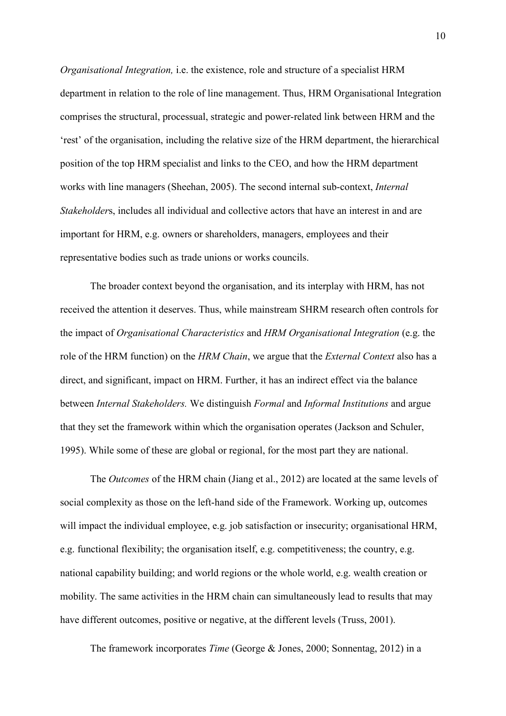*Organisational Integration,* i.e. the existence, role and structure of a specialist HRM department in relation to the role of line management. Thus, HRM Organisational Integration comprises the structural, processual, strategic and power-related link between HRM and the 'rest' of the organisation, including the relative size of the HRM department, the hierarchical position of the top HRM specialist and links to the CEO, and how the HRM department works with line managers (Sheehan, 2005). The second internal sub-context, *Internal Stakeholder*s, includes all individual and collective actors that have an interest in and are important for HRM, e.g. owners or shareholders, managers, employees and their representative bodies such as trade unions or works councils.

The broader context beyond the organisation, and its interplay with HRM, has not received the attention it deserves. Thus, while mainstream SHRM research often controls for the impact of *Organisational Characteristics* and *HRM Organisational Integration* (e.g. the role of the HRM function) on the *HRM Chain*, we argue that the *External Context* also has a direct, and significant, impact on HRM. Further, it has an indirect effect via the balance between *Internal Stakeholders.* We distinguish *Formal* and *Informal Institutions* and argue that they set the framework within which the organisation operates (Jackson and Schuler, 1995). While some of these are global or regional, for the most part they are national.

The *Outcomes* of the HRM chain (Jiang et al., 2012) are located at the same levels of social complexity as those on the left-hand side of the Framework. Working up, outcomes will impact the individual employee, e.g. job satisfaction or insecurity; organisational HRM, e.g. functional flexibility; the organisation itself, e.g. competitiveness; the country, e.g. national capability building; and world regions or the whole world, e.g. wealth creation or mobility. The same activities in the HRM chain can simultaneously lead to results that may have different outcomes, positive or negative, at the different levels (Truss, 2001).

The framework incorporates *Time* (George & Jones, 2000; Sonnentag, 2012) in a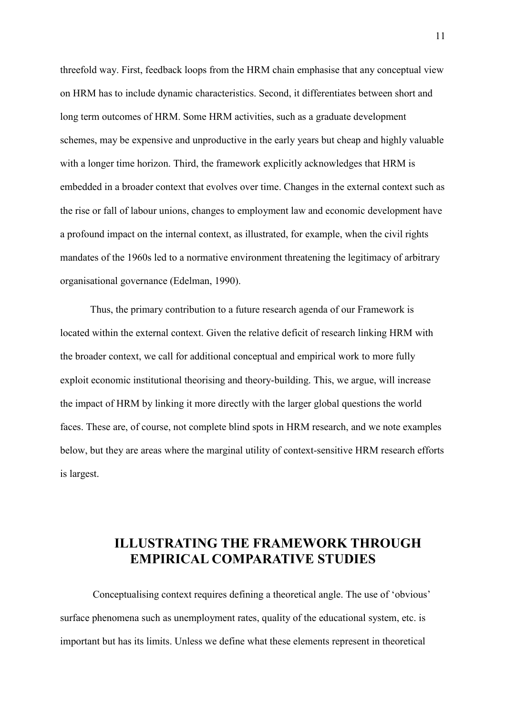threefold way. First, feedback loops from the HRM chain emphasise that any conceptual view on HRM has to include dynamic characteristics. Second, it differentiates between short and long term outcomes of HRM. Some HRM activities, such as a graduate development schemes, may be expensive and unproductive in the early years but cheap and highly valuable with a longer time horizon. Third, the framework explicitly acknowledges that HRM is embedded in a broader context that evolves over time. Changes in the external context such as the rise or fall of labour unions, changes to employment law and economic development have a profound impact on the internal context, as illustrated, for example, when the civil rights mandates of the 1960s led to a normative environment threatening the legitimacy of arbitrary organisational governance (Edelman, 1990).

Thus, the primary contribution to a future research agenda of our Framework is located within the external context. Given the relative deficit of research linking HRM with the broader context, we call for additional conceptual and empirical work to more fully exploit economic institutional theorising and theory-building. This, we argue, will increase the impact of HRM by linking it more directly with the larger global questions the world faces. These are, of course, not complete blind spots in HRM research, and we note examples below, but they are areas where the marginal utility of context-sensitive HRM research efforts is largest.

# **ILLUSTRATING THE FRAMEWORK THROUGH EMPIRICAL COMPARATIVE STUDIES**

Conceptualising context requires defining a theoretical angle. The use of 'obvious' surface phenomena such as unemployment rates, quality of the educational system, etc. is important but has its limits. Unless we define what these elements represent in theoretical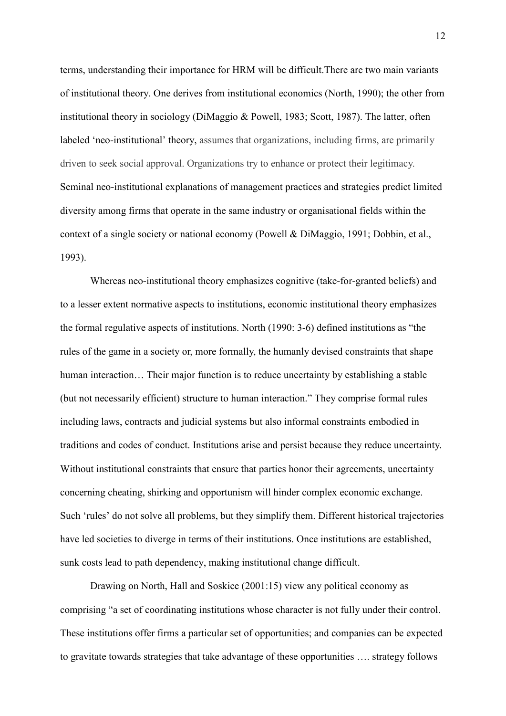terms, understanding their importance for HRM will be difficult.There are two main variants of institutional theory. One derives from institutional economics (North, 1990); the other from institutional theory in sociology (DiMaggio & Powell, 1983; Scott, 1987). The latter, often labeled 'neo-institutional' theory, assumes that organizations, including firms, are primarily driven to seek social approval. Organizations try to enhance or protect their legitimacy. Seminal neo-institutional explanations of management practices and strategies predict limited diversity among firms that operate in the same industry or organisational fields within the context of a single society or national economy (Powell & DiMaggio, 1991; Dobbin, et al., 1993).

Whereas neo-institutional theory emphasizes cognitive (take-for-granted beliefs) and to a lesser extent normative aspects to institutions, economic institutional theory emphasizes the formal regulative aspects of institutions. North (1990: 3-6) defined institutions as "the rules of the game in a society or, more formally, the humanly devised constraints that shape human interaction... Their major function is to reduce uncertainty by establishing a stable (but not necessarily efficient) structure to human interaction." They comprise formal rules including laws, contracts and judicial systems but also informal constraints embodied in traditions and codes of conduct. Institutions arise and persist because they reduce uncertainty. Without institutional constraints that ensure that parties honor their agreements, uncertainty concerning cheating, shirking and opportunism will hinder complex economic exchange. Such 'rules' do not solve all problems, but they simplify them. Different historical trajectories have led societies to diverge in terms of their institutions. Once institutions are established, sunk costs lead to path dependency, making institutional change difficult.

Drawing on North, Hall and Soskice (2001:15) view any political economy as comprising "a set of coordinating institutions whose character is not fully under their control. These institutions offer firms a particular set of opportunities; and companies can be expected to gravitate towards strategies that take advantage of these opportunities …. strategy follows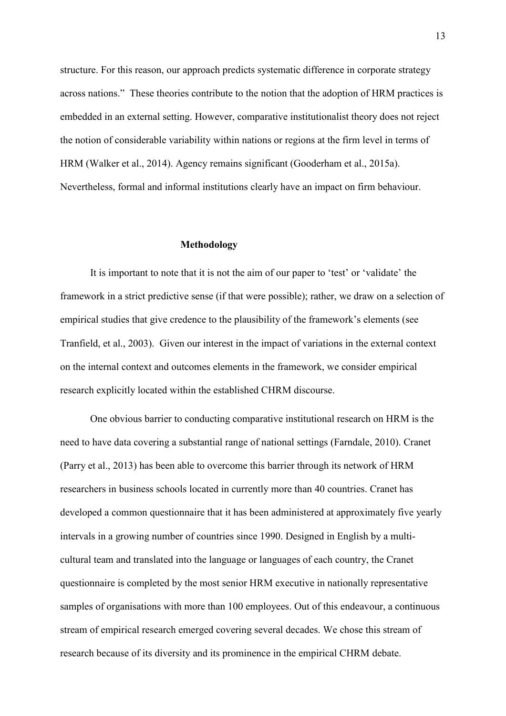structure. For this reason, our approach predicts systematic difference in corporate strategy across nations." These theories contribute to the notion that the adoption of HRM practices is embedded in an external setting. However, comparative institutionalist theory does not reject the notion of considerable variability within nations or regions at the firm level in terms of HRM (Walker et al., 2014). Agency remains significant (Gooderham et al., 2015a). Nevertheless, formal and informal institutions clearly have an impact on firm behaviour.

#### **Methodology**

It is important to note that it is not the aim of our paper to 'test' or 'validate' the framework in a strict predictive sense (if that were possible); rather, we draw on a selection of empirical studies that give credence to the plausibility of the framework's elements (see Tranfield, et al., 2003). Given our interest in the impact of variations in the external context on the internal context and outcomes elements in the framework, we consider empirical research explicitly located within the established CHRM discourse.

One obvious barrier to conducting comparative institutional research on HRM is the need to have data covering a substantial range of national settings (Farndale, 2010). Cranet (Parry et al., 2013) has been able to overcome this barrier through its network of HRM researchers in business schools located in currently more than 40 countries. Cranet has developed a common questionnaire that it has been administered at approximately five yearly intervals in a growing number of countries since 1990. Designed in English by a multicultural team and translated into the language or languages of each country, the Cranet questionnaire is completed by the most senior HRM executive in nationally representative samples of organisations with more than 100 employees. Out of this endeavour, a continuous stream of empirical research emerged covering several decades. We chose this stream of research because of its diversity and its prominence in the empirical CHRM debate.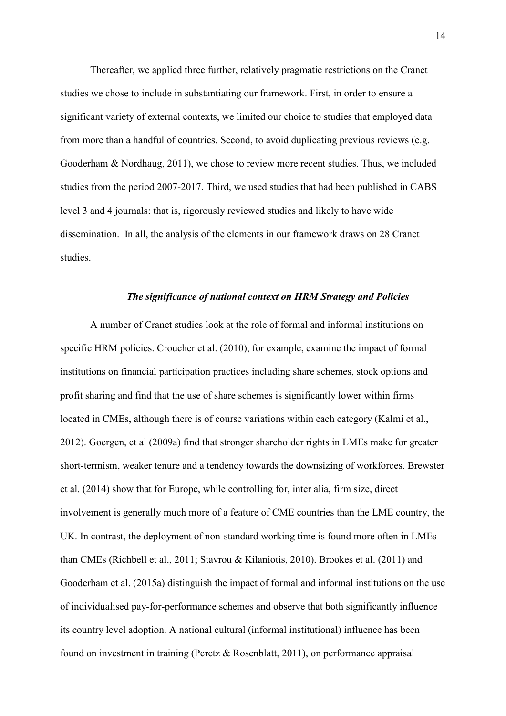Thereafter, we applied three further, relatively pragmatic restrictions on the Cranet studies we chose to include in substantiating our framework. First, in order to ensure a significant variety of external contexts, we limited our choice to studies that employed data from more than a handful of countries. Second, to avoid duplicating previous reviews (e.g. Gooderham & Nordhaug, 2011), we chose to review more recent studies. Thus, we included studies from the period 2007-2017. Third, we used studies that had been published in CABS level 3 and 4 journals: that is, rigorously reviewed studies and likely to have wide dissemination. In all, the analysis of the elements in our framework draws on 28 Cranet studies.

#### *The significance of national context on HRM Strategy and Policies*

A number of Cranet studies look at the role of formal and informal institutions on specific HRM policies. Croucher et al. (2010), for example, examine the impact of formal institutions on financial participation practices including share schemes, stock options and profit sharing and find that the use of share schemes is significantly lower within firms located in CMEs, although there is of course variations within each category (Kalmi et al., 2012). Goergen, et al (2009a) find that stronger shareholder rights in LMEs make for greater short-termism, weaker tenure and a tendency towards the downsizing of workforces. Brewster et al. (2014) show that for Europe, while controlling for, inter alia, firm size, direct involvement is generally much more of a feature of CME countries than the LME country, the UK. In contrast, the deployment of non-standard working time is found more often in LMEs than CMEs (Richbell et al., 2011; Stavrou & Kilaniotis, 2010). Brookes et al. (2011) and Gooderham et al. (2015a) distinguish the impact of formal and informal institutions on the use of individualised pay-for-performance schemes and observe that both significantly influence its country level adoption. A national cultural (informal institutional) influence has been found on investment in training (Peretz & Rosenblatt, 2011), on performance appraisal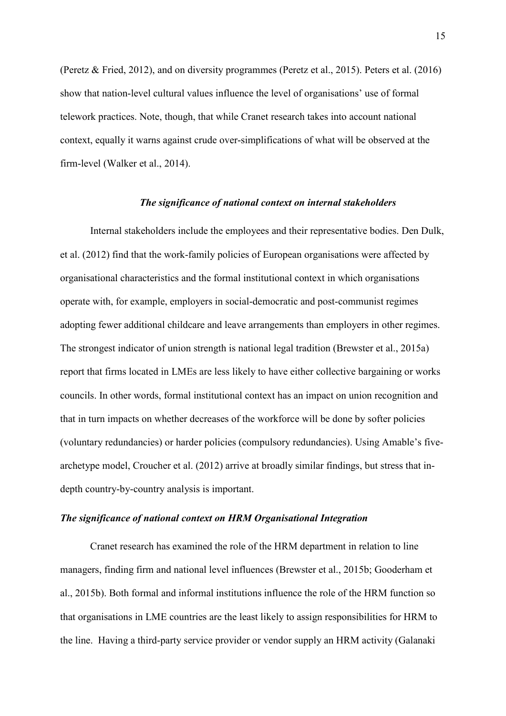(Peretz & Fried, 2012), and on diversity programmes (Peretz et al., 2015). Peters et al. (2016) show that nation-level cultural values influence the level of organisations' use of formal telework practices. Note, though, that while Cranet research takes into account national context, equally it warns against crude over-simplifications of what will be observed at the firm-level (Walker et al., 2014).

#### *The significance of national context on internal stakeholders*

Internal stakeholders include the employees and their representative bodies. Den Dulk, et al. (2012) find that the work-family policies of European organisations were affected by organisational characteristics and the formal institutional context in which organisations operate with, for example, employers in social-democratic and post-communist regimes adopting fewer additional childcare and leave arrangements than employers in other regimes. The strongest indicator of union strength is national legal tradition (Brewster et al., 2015a) report that firms located in LMEs are less likely to have either collective bargaining or works councils. In other words, formal institutional context has an impact on union recognition and that in turn impacts on whether decreases of the workforce will be done by softer policies (voluntary redundancies) or harder policies (compulsory redundancies). Using Amable's fivearchetype model, Croucher et al. (2012) arrive at broadly similar findings, but stress that indepth country-by-country analysis is important.

#### *The significance of national context on HRM Organisational Integration*

Cranet research has examined the role of the HRM department in relation to line managers, finding firm and national level influences (Brewster et al., 2015b; Gooderham et al., 2015b). Both formal and informal institutions influence the role of the HRM function so that organisations in LME countries are the least likely to assign responsibilities for HRM to the line. Having a third-party service provider or vendor supply an HRM activity (Galanaki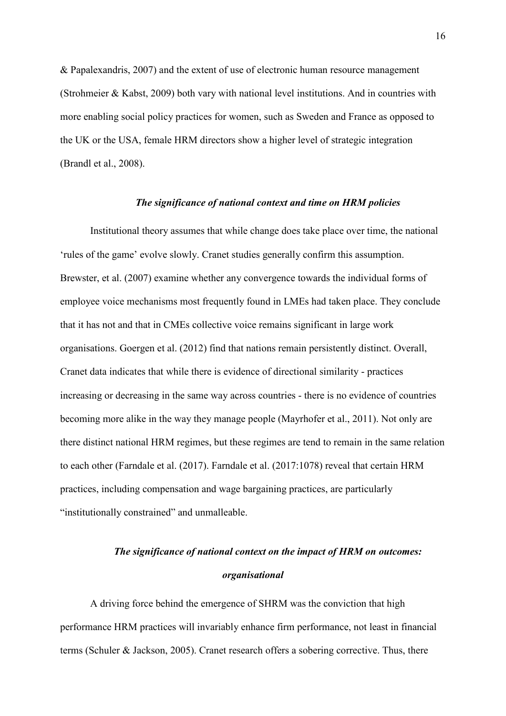& Papalexandris, 2007) and the extent of use of electronic human resource management (Strohmeier & Kabst, 2009) both vary with national level institutions. And in countries with more enabling social policy practices for women, such as Sweden and France as opposed to the UK or the USA, female HRM directors show a higher level of strategic integration (Brandl et al., 2008).

#### *The significance of national context and time on HRM policies*

Institutional theory assumes that while change does take place over time, the national 'rules of the game' evolve slowly. Cranet studies generally confirm this assumption. Brewster, et al. (2007) examine whether any convergence towards the individual forms of employee voice mechanisms most frequently found in LMEs had taken place. They conclude that it has not and that in CMEs collective voice remains significant in large work organisations. Goergen et al. (2012) find that nations remain persistently distinct. Overall, Cranet data indicates that while there is evidence of directional similarity - practices increasing or decreasing in the same way across countries - there is no evidence of countries becoming more alike in the way they manage people (Mayrhofer et al., 2011). Not only are there distinct national HRM regimes, but these regimes are tend to remain in the same relation to each other (Farndale et al. (2017). Farndale et al. (2017:1078) reveal that certain HRM practices, including compensation and wage bargaining practices, are particularly "institutionally constrained" and unmalleable.

# *The significance of national context on the impact of HRM on outcomes: organisational*

A driving force behind the emergence of SHRM was the conviction that high performance HRM practices will invariably enhance firm performance, not least in financial terms (Schuler & Jackson, 2005). Cranet research offers a sobering corrective. Thus, there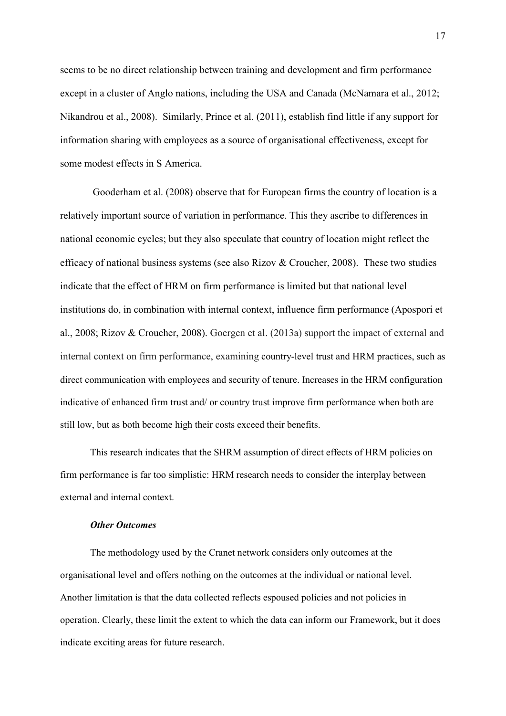seems to be no direct relationship between training and development and firm performance except in a cluster of Anglo nations, including the USA and Canada (McNamara et al., 2012; Nikandrou et al., 2008). Similarly, Prince et al. (2011), establish find little if any support for information sharing with employees as a source of organisational effectiveness, except for some modest effects in S America.

Gooderham et al. (2008) observe that for European firms the country of location is a relatively important source of variation in performance. This they ascribe to differences in national economic cycles; but they also speculate that country of location might reflect the efficacy of national business systems (see also Rizov & Croucher, 2008). These two studies indicate that the effect of HRM on firm performance is limited but that national level institutions do, in combination with internal context, influence firm performance (Apospori et al., 2008; Rizov & Croucher, 2008). Goergen et al. (2013a) support the impact of external and internal context on firm performance, examining country-level trust and HRM practices, such as direct communication with employees and security of tenure. Increases in the HRM configuration indicative of enhanced firm trust and/ or country trust improve firm performance when both are still low, but as both become high their costs exceed their benefits.

This research indicates that the SHRM assumption of direct effects of HRM policies on firm performance is far too simplistic: HRM research needs to consider the interplay between external and internal context.

#### *Other Outcomes*

The methodology used by the Cranet network considers only outcomes at the organisational level and offers nothing on the outcomes at the individual or national level. Another limitation is that the data collected reflects espoused policies and not policies in operation. Clearly, these limit the extent to which the data can inform our Framework, but it does indicate exciting areas for future research.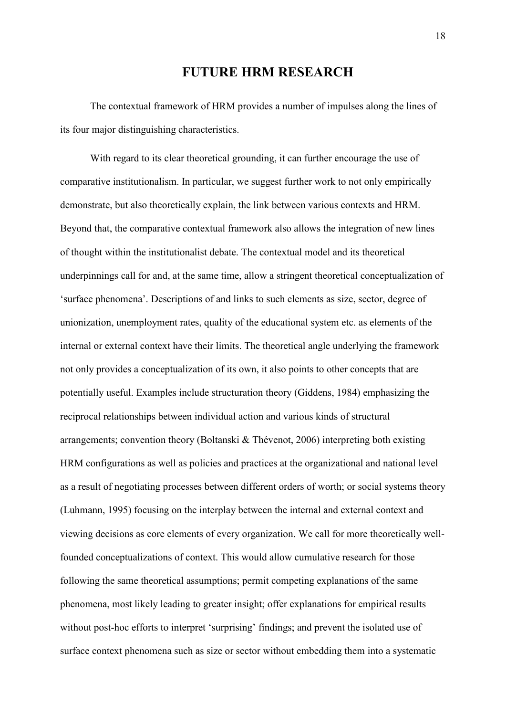### **FUTURE HRM RESEARCH**

The contextual framework of HRM provides a number of impulses along the lines of its four major distinguishing characteristics.

With regard to its clear theoretical grounding, it can further encourage the use of comparative institutionalism. In particular, we suggest further work to not only empirically demonstrate, but also theoretically explain, the link between various contexts and HRM. Beyond that, the comparative contextual framework also allows the integration of new lines of thought within the institutionalist debate. The contextual model and its theoretical underpinnings call for and, at the same time, allow a stringent theoretical conceptualization of 'surface phenomena'. Descriptions of and links to such elements as size, sector, degree of unionization, unemployment rates, quality of the educational system etc. as elements of the internal or external context have their limits. The theoretical angle underlying the framework not only provides a conceptualization of its own, it also points to other concepts that are potentially useful. Examples include structuration theory (Giddens, 1984) emphasizing the reciprocal relationships between individual action and various kinds of structural arrangements; convention theory (Boltanski & Thévenot, 2006) interpreting both existing HRM configurations as well as policies and practices at the organizational and national level as a result of negotiating processes between different orders of worth; or social systems theory (Luhmann, 1995) focusing on the interplay between the internal and external context and viewing decisions as core elements of every organization. We call for more theoretically wellfounded conceptualizations of context. This would allow cumulative research for those following the same theoretical assumptions; permit competing explanations of the same phenomena, most likely leading to greater insight; offer explanations for empirical results without post-hoc efforts to interpret 'surprising' findings; and prevent the isolated use of surface context phenomena such as size or sector without embedding them into a systematic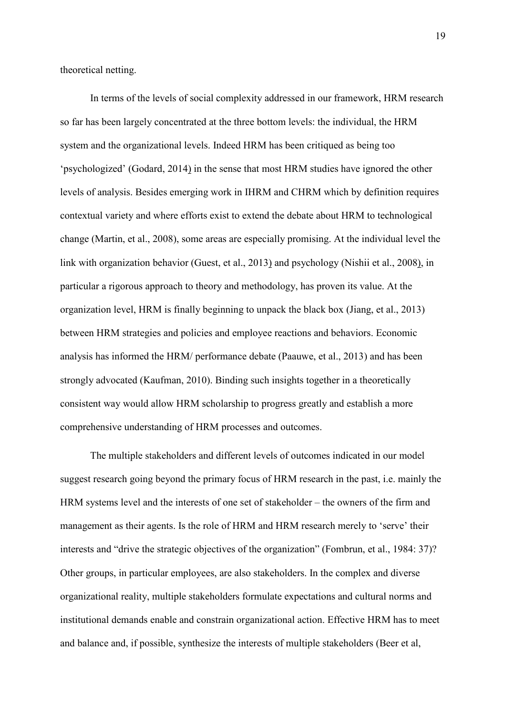theoretical netting.

In terms of the levels of social complexity addressed in our framework, HRM research so far has been largely concentrated at the three bottom levels: the individual, the HRM system and the organizational levels. Indeed HRM has been critiqued as being too 'psychologized' (Godard, 2014) in the sense that most HRM studies have ignored the other levels of analysis. Besides emerging work in IHRM and CHRM which by definition requires contextual variety and where efforts exist to extend the debate about HRM to technological change (Martin, et al., 2008), some areas are especially promising. At the individual level the link with organization behavior (Guest, et al., 2013) and psychology (Nishii et al., 2008), in particular a rigorous approach to theory and methodology, has proven its value. At the organization level, HRM is finally beginning to unpack the black box (Jiang, et al., 2013) between HRM strategies and policies and employee reactions and behaviors. Economic analysis has informed the HRM/ performance debate (Paauwe, et al., 2013) and has been strongly advocated (Kaufman, 2010). Binding such insights together in a theoretically consistent way would allow HRM scholarship to progress greatly and establish a more comprehensive understanding of HRM processes and outcomes.

The multiple stakeholders and different levels of outcomes indicated in our model suggest research going beyond the primary focus of HRM research in the past, i.e. mainly the HRM systems level and the interests of one set of stakeholder – the owners of the firm and management as their agents. Is the role of HRM and HRM research merely to 'serve' their interests and "drive the strategic objectives of the organization" (Fombrun, et al., 1984: 37)? Other groups, in particular employees, are also stakeholders. In the complex and diverse organizational reality, multiple stakeholders formulate expectations and cultural norms and institutional demands enable and constrain organizational action. Effective HRM has to meet and balance and, if possible, synthesize the interests of multiple stakeholders (Beer et al,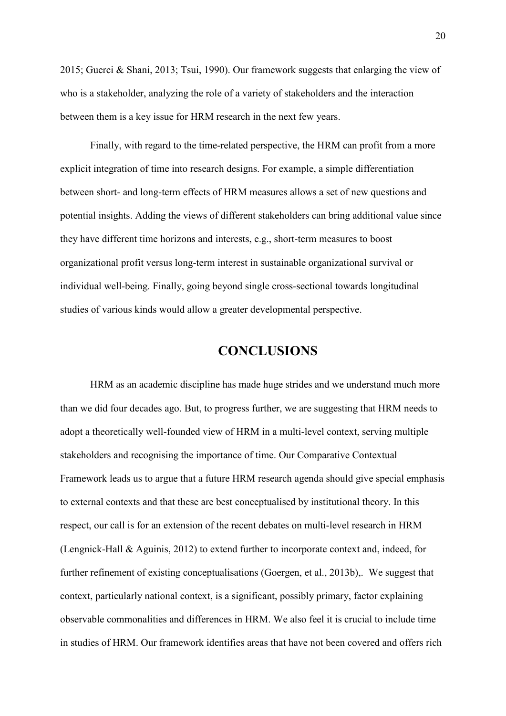2015; Guerci & Shani, 2013; Tsui, 1990). Our framework suggests that enlarging the view of who is a stakeholder, analyzing the role of a variety of stakeholders and the interaction between them is a key issue for HRM research in the next few years.

Finally, with regard to the time-related perspective, the HRM can profit from a more explicit integration of time into research designs. For example, a simple differentiation between short- and long-term effects of HRM measures allows a set of new questions and potential insights. Adding the views of different stakeholders can bring additional value since they have different time horizons and interests, e.g., short-term measures to boost organizational profit versus long-term interest in sustainable organizational survival or individual well-being. Finally, going beyond single cross-sectional towards longitudinal studies of various kinds would allow a greater developmental perspective.

### **CONCLUSIONS**

HRM as an academic discipline has made huge strides and we understand much more than we did four decades ago. But, to progress further, we are suggesting that HRM needs to adopt a theoretically well-founded view of HRM in a multi-level context, serving multiple stakeholders and recognising the importance of time. Our Comparative Contextual Framework leads us to argue that a future HRM research agenda should give special emphasis to external contexts and that these are best conceptualised by institutional theory. In this respect, our call is for an extension of the recent debates on multi-level research in HRM (Lengnick-Hall & Aguinis, 2012) to extend further to incorporate context and, indeed, for further refinement of existing conceptualisations (Goergen, et al., 2013b),. We suggest that context, particularly national context, is a significant, possibly primary, factor explaining observable commonalities and differences in HRM. We also feel it is crucial to include time in studies of HRM. Our framework identifies areas that have not been covered and offers rich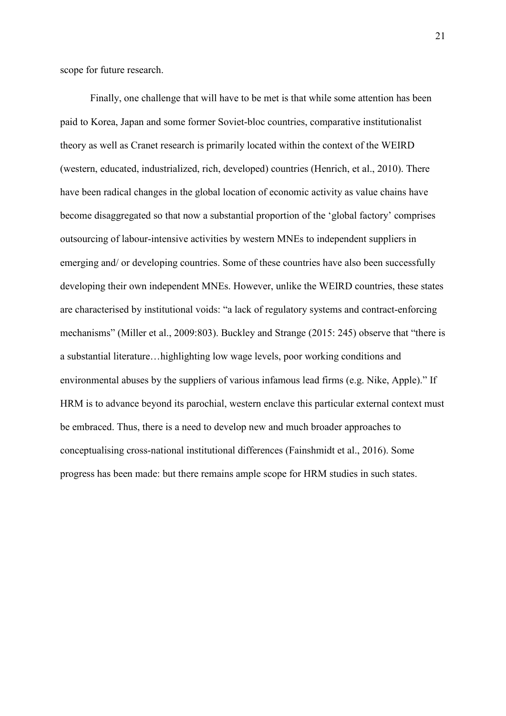scope for future research.

Finally, one challenge that will have to be met is that while some attention has been paid to Korea, Japan and some former Soviet-bloc countries, comparative institutionalist theory as well as Cranet research is primarily located within the context of the WEIRD (western, educated, industrialized, rich, developed) countries (Henrich, et al., 2010). There have been radical changes in the global location of economic activity as value chains have become disaggregated so that now a substantial proportion of the 'global factory' comprises outsourcing of labour-intensive activities by western MNEs to independent suppliers in emerging and/ or developing countries. Some of these countries have also been successfully developing their own independent MNEs. However, unlike the WEIRD countries, these states are characterised by institutional voids: "a lack of regulatory systems and contract-enforcing mechanisms" (Miller et al., 2009:803). Buckley and Strange (2015: 245) observe that "there is a substantial literature…highlighting low wage levels, poor working conditions and environmental abuses by the suppliers of various infamous lead firms (e.g. Nike, Apple)." If HRM is to advance beyond its parochial, western enclave this particular external context must be embraced. Thus, there is a need to develop new and much broader approaches to conceptualising cross-national institutional differences (Fainshmidt et al., 2016). Some progress has been made: but there remains ample scope for HRM studies in such states.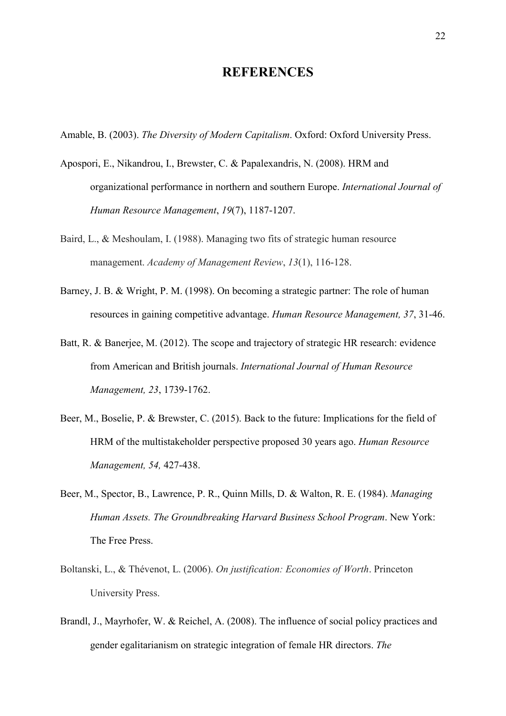### **REFERENCES**

Amable, B. (2003). *The Diversity of Modern Capitalism*. Oxford: Oxford University Press.

- Apospori, E., Nikandrou, I., Brewster, C. & Papalexandris, N. (2008). HRM and organizational performance in northern and southern Europe. *International Journal of Human Resource Management*, *19*(7), 1187-1207.
- Baird, L., & Meshoulam, I. (1988). Managing two fits of strategic human resource management. *Academy of Management Review*, *13*(1), 116-128.
- Barney, J. B. & Wright, P. M. (1998). On becoming a strategic partner: The role of human resources in gaining competitive advantage. *Human Resource Management, 37*, 31-46.
- Batt, R. & Banerjee, M. (2012). The scope and trajectory of strategic HR research: evidence from American and British journals. *International Journal of Human Resource Management, 23*, 1739-1762.
- Beer, M., Boselie, P. & Brewster, C. (2015). Back to the future: Implications for the field of HRM of the multistakeholder perspective proposed 30 years ago. *Human Resource Management, 54,* 427-438.
- Beer, M., Spector, B., Lawrence, P. R., Quinn Mills, D. & Walton, R. E. (1984). *Managing Human Assets. The Groundbreaking Harvard Business School Program*. New York: The Free Press.
- Boltanski, L., & Thévenot, L. (2006). *On justification: Economies of Worth*. Princeton University Press.
- Brandl, J., Mayrhofer, W. & Reichel, A. (2008). The influence of social policy practices and gender egalitarianism on strategic integration of female HR directors. *The*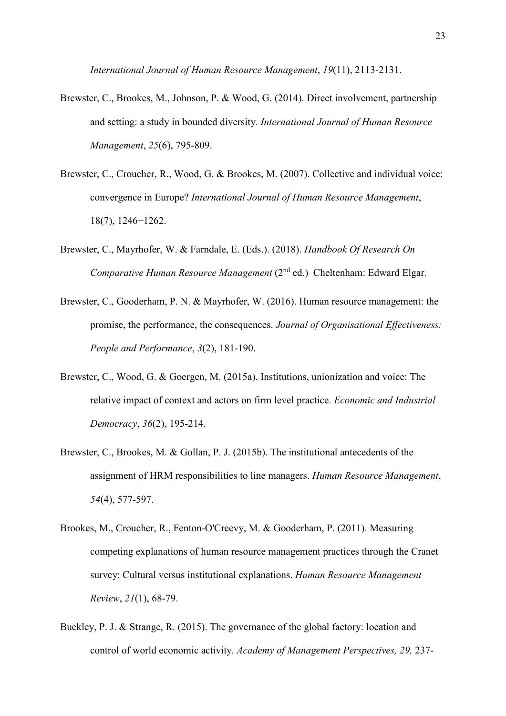*International Journal of Human Resource Management*, *19*(11), 2113-2131.

- Brewster, C., Brookes, M., Johnson, P. & Wood, G. (2014). Direct involvement, partnership and setting: a study in bounded diversity. *International Journal of Human Resource Management*, *25*(6), 795-809.
- Brewster, C., Croucher, R., Wood, G. & Brookes, M. (2007). Collective and individual voice: convergence in Europe? *International Journal of Human Resource Management*, 18(7), 1246−1262.
- Brewster, C., Mayrhofer, W. & Farndale, E. (Eds.). (2018). *Handbook Of Research On Comparative Human Resource Management* (2<sup>nd</sup> ed.) Cheltenham: Edward Elgar.
- Brewster, C., Gooderham, P. N. & Mayrhofer, W. (2016). Human resource management: the promise, the performance, the consequences. *Journal of Organisational Effectiveness: People and Performance*, *3*(2), 181-190.
- Brewster, C., Wood, G. & Goergen, M. (2015a). Institutions, unionization and voice: The relative impact of context and actors on firm level practice. *Economic and Industrial Democracy*, *36*(2), 195-214.
- Brewster, C., Brookes, M. & Gollan, P. J. (2015b). The institutional antecedents of the assignment of HRM responsibilities to line managers. *Human Resource Management*, *54*(4), 577-597.
- Brookes, M., Croucher, R., Fenton-O'Creevy, M. & Gooderham, P. (2011). Measuring competing explanations of human resource management practices through the Cranet survey: Cultural versus institutional explanations. *Human Resource Management Review*, *21*(1), 68-79.
- Buckley, P. J. & Strange, R. (2015). The governance of the global factory: location and control of world economic activity. *Academy of Management Perspectives, 29,* 237-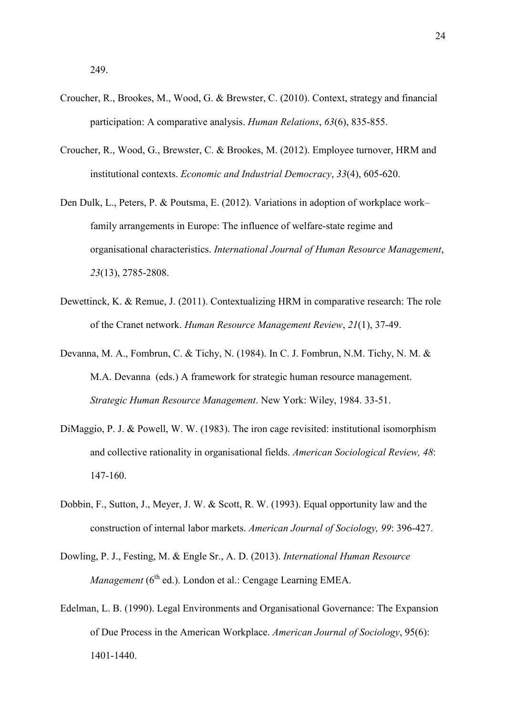- Croucher, R., Brookes, M., Wood, G. & Brewster, C. (2010). Context, strategy and financial participation: A comparative analysis. *Human Relations*, *63*(6), 835-855.
- Croucher, R., Wood, G., Brewster, C. & Brookes, M. (2012). Employee turnover, HRM and institutional contexts. *Economic and Industrial Democracy*, *33*(4), 605-620.
- Den Dulk, L., Peters, P. & Poutsma, E. (2012). Variations in adoption of workplace work– family arrangements in Europe: The influence of welfare-state regime and organisational characteristics. *International Journal of Human Resource Management*, *23*(13), 2785-2808.
- Dewettinck, K. & Remue, J. (2011). Contextualizing HRM in comparative research: The role of the Cranet network. *Human Resource Management Review*, *21*(1), 37-49.
- Devanna, M. A., Fombrun, C. & Tichy, N. (1984). In C. J. Fombrun, N.M. Tichy, N. M. & M.A. Devanna (eds.) A framework for strategic human resource management. *Strategic Human Resource Management*. New York: Wiley, 1984. 33-51.
- DiMaggio, P. J. & Powell, W. W. (1983). The iron cage revisited: institutional isomorphism and collective rationality in organisational fields. *American Sociological Review, 48*: 147-160.
- Dobbin, F., Sutton, J., Meyer, J. W. & Scott, R. W. (1993). Equal opportunity law and the construction of internal labor markets. *American Journal of Sociology, 99*: 396-427.
- Dowling, P. J., Festing, M. & Engle Sr., A. D. (2013). *International Human Resource Management* (6<sup>th</sup> ed.). London et al.: Cengage Learning EMEA.
- Edelman, L. B. (1990). Legal Environments and Organisational Governance: The Expansion of Due Process in the American Workplace. *American Journal of Sociology*, 95(6): 1401-1440.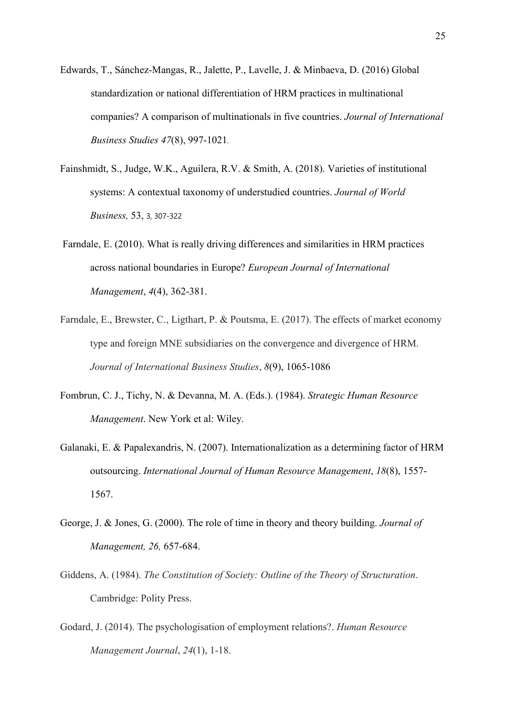- Edwards, T., Sánchez-Mangas, R., Jalette, P., Lavelle, J. & Minbaeva, D. (2016) Global standardization or national differentiation of HRM practices in multinational companies? A comparison of multinationals in five countries. *Journal of International Business Studies 47*(8), 997-1021.
- [Fainshmidt,](https://www.researchgate.net/profile/Stav_Fainshmidt) S., [Judge,](https://www.researchgate.net/profile/Ruth_Aguilera) W.K., Aguilera, R.V. & Smith, A. (2018). Varieties of institutional systems: A contextual taxonomy of understudied countries. *Journal of World Business,* 53, 3, 307-322
- Farndale, E. (2010). What is really driving differences and similarities in HRM practices across national boundaries in Europe? *European Journal of International Management*, *4*(4), 362-381.
- Farndale, E., Brewster, C., Ligthart, P. & Poutsma, E. (2017). The effects of market economy type and foreign MNE subsidiaries on the convergence and divergence of HRM. *Journal of International Business Studies*, *8*(9), 1065-1086
- Fombrun, C. J., Tichy, N. & Devanna, M. A. (Eds.). (1984). *Strategic Human Resource Management*. New York et al: Wiley.
- Galanaki, E. & Papalexandris, N. (2007). Internationalization as a determining factor of HRM outsourcing. *International Journal of Human Resource Management*, *18*(8), 1557- 1567.
- George, J. & Jones, G. (2000). The role of time in theory and theory building. *Journal of Management, 26,* 657-684.
- Giddens, A. (1984). *The Constitution of Society: Outline of the Theory of Structuration*. Cambridge: Polity Press.
- Godard, J. (2014). The psychologisation of employment relations?. *Human Resource Management Journal*, *24*(1), 1-18.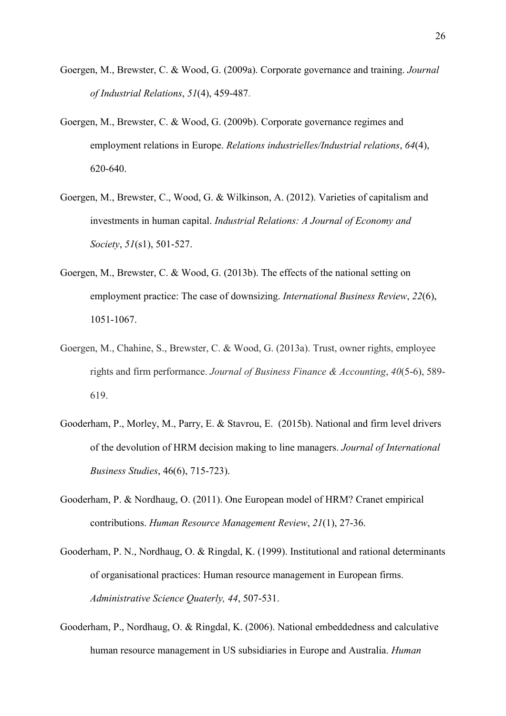- Goergen, M., Brewster, C. & Wood, G. (2009a). Corporate governance and training. *Journal of Industrial Relations*, *51*(4), 459-487.
- Goergen, M., Brewster, C. & Wood, G. (2009b). Corporate governance regimes and employment relations in Europe. *Relations industrielles/Industrial relations*, *64*(4), 620-640.
- Goergen, M., Brewster, C., Wood, G. & Wilkinson, A. (2012). Varieties of capitalism and investments in human capital. *Industrial Relations: A Journal of Economy and Society*, *51*(s1), 501-527.
- Goergen, M., Brewster, C. & Wood, G. (2013b). The effects of the national setting on employment practice: The case of downsizing. *International Business Review*, *22*(6), 1051-1067.
- Goergen, M., Chahine, S., Brewster, C. & Wood, G. (2013a). Trust, owner rights, employee rights and firm performance. *Journal of Business Finance & Accounting*, *40*(5-6), 589- 619.
- Gooderham, P., Morley, M., Parry, E. & Stavrou, E. (2015b). National and firm level drivers of the devolution of HRM decision making to line managers. *Journal of International Business Studies*, 46(6), 715-723).
- Gooderham, P. & Nordhaug, O. (2011). One European model of HRM? Cranet empirical contributions. *Human Resource Management Review*, *21*(1), 27-36.
- Gooderham, P. N., Nordhaug, O. & Ringdal, K. (1999). Institutional and rational determinants of organisational practices: Human resource management in European firms. *Administrative Science Quaterly, 44*, 507-531.
- Gooderham, P., Nordhaug, O. & Ringdal, K. (2006). National embeddedness and calculative human resource management in US subsidiaries in Europe and Australia. *Human*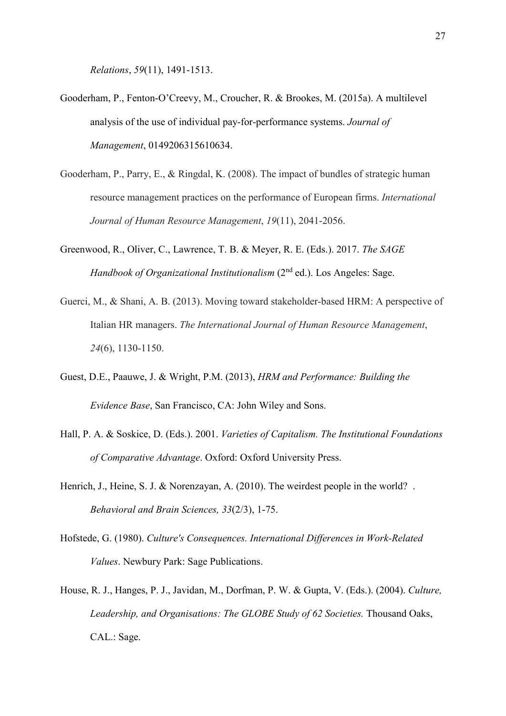*Relations*, *59*(11), 1491-1513.

- Gooderham, P., Fenton-O'Creevy, M., Croucher, R. & Brookes, M. (2015a). A multilevel analysis of the use of individual pay-for-performance systems. *Journal of Management*, 0149206315610634.
- Gooderham, P., Parry, E., & Ringdal, K. (2008). The impact of bundles of strategic human resource management practices on the performance of European firms. *International Journal of Human Resource Management*, *19*(11), 2041-2056.
- Greenwood, R., Oliver, C., Lawrence, T. B. & Meyer, R. E. (Eds.). 2017. *The SAGE Handbook of Organizational Institutionalism* (2nd ed.). Los Angeles: Sage.
- Guerci, M., & Shani, A. B. (2013). Moving toward stakeholder-based HRM: A perspective of Italian HR managers. *The International Journal of Human Resource Management*, *24*(6), 1130-1150.
- Guest, D.E., Paauwe, J. & Wright, P.M. (2013), *HRM and Performance: Building the Evidence Base*, San Francisco, CA: John Wiley and Sons.
- Hall, P. A. & Soskice, D. (Eds.). 2001. *Varieties of Capitalism. The Institutional Foundations of Comparative Advantage*. Oxford: Oxford University Press.
- Henrich, J., Heine, S. J. & Norenzayan, A. (2010). The weirdest people in the world?. *Behavioral and Brain Sciences, 33*(2/3), 1-75.
- Hofstede, G. (1980). *Culture's Consequences. International Differences in Work-Related Values*. Newbury Park: Sage Publications.
- House, R. J., Hanges, P. J., Javidan, M., Dorfman, P. W. & Gupta, V. (Eds.). (2004). *Culture, Leadership, and Organisations: The GLOBE Study of 62 Societies.* Thousand Oaks, CAL.: Sage.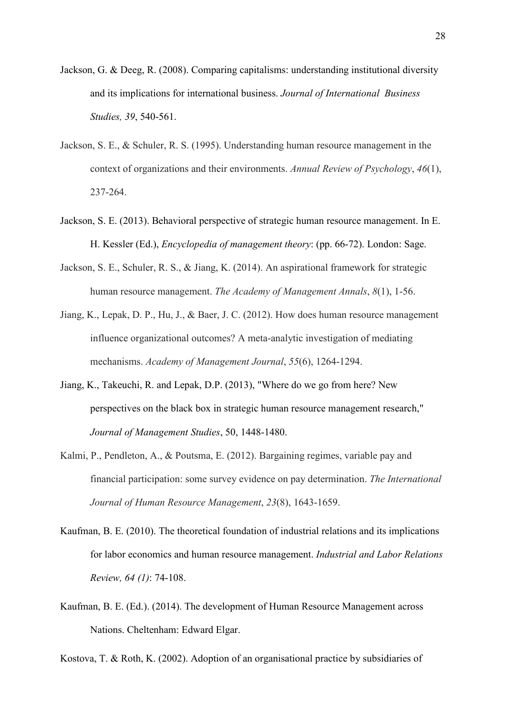- Jackson, G. & Deeg, R. (2008). Comparing capitalisms: understanding institutional diversity and its implications for international business. *Journal of International Business Studies, 39*, 540-561.
- Jackson, S. E., & Schuler, R. S. (1995). Understanding human resource management in the context of organizations and their environments. *Annual Review of Psychology*, *46*(1), 237-264.
- Jackson, S. E. (2013). Behavioral perspective of strategic human resource management. In E. H. Kessler (Ed.), *Encyclopedia of management theory*: (pp. 66-72). London: Sage.
- Jackson, S. E., Schuler, R. S., & Jiang, K. (2014). An aspirational framework for strategic human resource management. *The Academy of Management Annals*, *8*(1), 1-56.
- Jiang, K., Lepak, D. P., Hu, J., & Baer, J. C. (2012). How does human resource management influence organizational outcomes? A meta-analytic investigation of mediating mechanisms. *Academy of Management Journal*, *55*(6), 1264-1294.
- Jiang, K., Takeuchi, R. and Lepak, D.P. (2013), "Where do we go from here? New perspectives on the black box in strategic human resource management research," *Journal of Management Studies*, 50, 1448-1480.
- Kalmi, P., Pendleton, A., & Poutsma, E. (2012). Bargaining regimes, variable pay and financial participation: some survey evidence on pay determination. *The International Journal of Human Resource Management*, *23*(8), 1643-1659.
- Kaufman, B. E. (2010). The theoretical foundation of industrial relations and its implications for labor economics and human resource management. *Industrial and Labor Relations Review, 64 (1)*: 74-108.
- Kaufman, B. E. (Ed.). (2014). The development of Human Resource Management across Nations. Cheltenham: Edward Elgar.
- Kostova, T. & Roth, K. (2002). Adoption of an organisational practice by subsidiaries of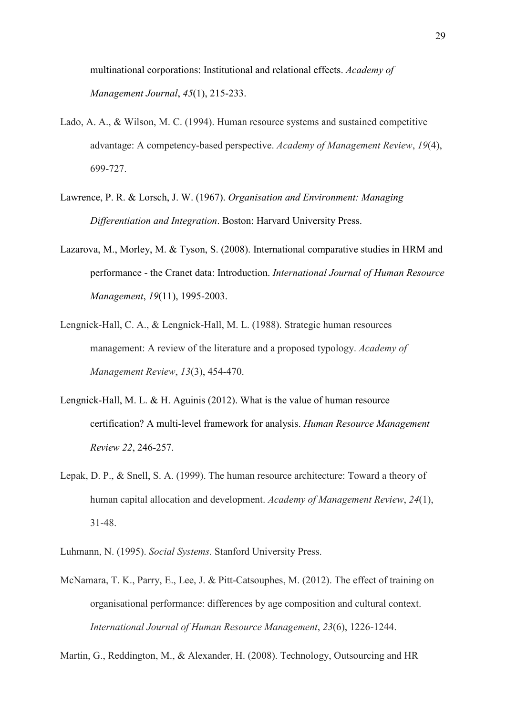multinational corporations: Institutional and relational effects. *Academy of Management Journal*, *45*(1), 215-233.

- Lado, A. A., & Wilson, M. C. (1994). Human resource systems and sustained competitive advantage: A competency-based perspective. *Academy of Management Review*, *19*(4), 699-727.
- Lawrence, P. R. & Lorsch, J. W. (1967). *Organisation and Environment: Managing Differentiation and Integration*. Boston: Harvard University Press.
- Lazarova, M., Morley, M. & Tyson, S. (2008). International comparative studies in HRM and performance - the Cranet data: Introduction. *International Journal of Human Resource Management*, *19*(11), 1995-2003.
- Lengnick-Hall, C. A., & Lengnick-Hall, M. L. (1988). Strategic human resources management: A review of the literature and a proposed typology. *Academy of Management Review*, *13*(3), 454-470.
- Lengnick-Hall, M. L. & H. Aguinis (2012). What is the value of human resource certification? A multi-level framework for analysis. *Human Resource Management Review 22*, 246-257.
- Lepak, D. P., & Snell, S. A. (1999). The human resource architecture: Toward a theory of human capital allocation and development. *Academy of Management Review*, *24*(1), 31-48.
- Luhmann, N. (1995). *Social Systems*. Stanford University Press.
- McNamara, T. K., Parry, E., Lee, J. & Pitt-Catsouphes, M. (2012). The effect of training on organisational performance: differences by age composition and cultural context. *International Journal of Human Resource Management*, *23*(6), 1226-1244.

Martin, G., Reddington, M., & Alexander, H. (2008). Technology, Outsourcing and HR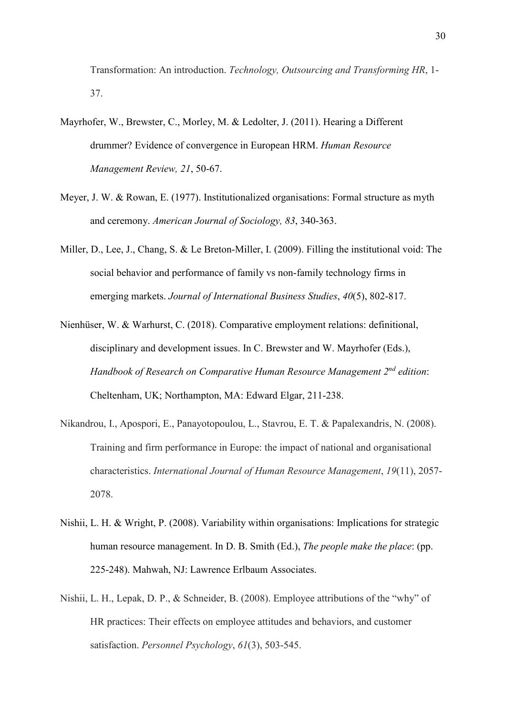Transformation: An introduction. *Technology, Outsourcing and Transforming HR*, 1- 37.

- Mayrhofer, W., Brewster, C., Morley, M. & Ledolter, J. (2011). Hearing a Different drummer? Evidence of convergence in European HRM. *Human Resource Management Review, 21*, 50-67.
- Meyer, J. W. & Rowan, E. (1977). Institutionalized organisations: Formal structure as myth and ceremony. *American Journal of Sociology, 83*, 340-363.
- Miller, D., Lee, J., Chang, S. & Le Breton-Miller, I. (2009). Filling the institutional void: The social behavior and performance of family vs non-family technology firms in emerging markets. *Journal of International Business Studies*, *40*(5), 802-817.
- Nienhüser, W. & Warhurst, C. (2018). Comparative employment relations: definitional, disciplinary and development issues. In C. Brewster and W. Mayrhofer (Eds.), *Handbook of Research on Comparative Human Resource Management 2nd edition*: Cheltenham, UK; Northampton, MA: Edward Elgar, 211-238.
- Nikandrou, I., Apospori, E., Panayotopoulou, L., Stavrou, E. T. & Papalexandris, N. (2008). Training and firm performance in Europe: the impact of national and organisational characteristics. *International Journal of Human Resource Management*, *19*(11), 2057- 2078.
- Nishii, L. H. & Wright, P. (2008). Variability within organisations: Implications for strategic human resource management. In D. B. Smith (Ed.), *The people make the place*: (pp. 225-248). Mahwah, NJ: Lawrence Erlbaum Associates.
- Nishii, L. H., Lepak, D. P., & Schneider, B. (2008). Employee attributions of the "why" of HR practices: Their effects on employee attitudes and behaviors, and customer satisfaction. *Personnel Psychology*, *61*(3), 503-545.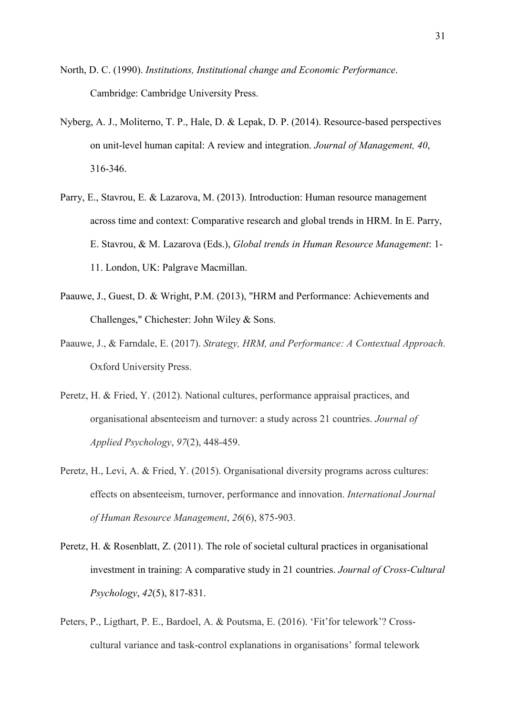- North, D. C. (1990). *Institutions, Institutional change and Economic Performance*. Cambridge: Cambridge University Press.
- Nyberg, A. J., Moliterno, T. P., Hale, D. & Lepak, D. P. (2014). Resource-based perspectives on unit-level human capital: A review and integration. *Journal of Management, 40*, 316-346.
- Parry, E., Stavrou, E. & Lazarova, M. (2013). Introduction: Human resource management across time and context: Comparative research and global trends in HRM. In E. Parry, E. Stavrou, & M. Lazarova (Eds.), *Global trends in Human Resource Management*: 1- 11. London, UK: Palgrave Macmillan.
- Paauwe, J., Guest, D. & Wright, P.M. (2013), "HRM and Performance: Achievements and Challenges," Chichester: John Wiley & Sons.
- Paauwe, J., & Farndale, E. (2017). *Strategy, HRM, and Performance: A Contextual Approach*. Oxford University Press.
- Peretz, H. & Fried, Y. (2012). National cultures, performance appraisal practices, and organisational absenteeism and turnover: a study across 21 countries. *Journal of Applied Psychology*, *97*(2), 448-459.
- Peretz, H., Levi, A. & Fried, Y. (2015). Organisational diversity programs across cultures: effects on absenteeism, turnover, performance and innovation. *International Journal of Human Resource Management*, *26*(6), 875-903.
- Peretz, H. & Rosenblatt, Z. (2011). The role of societal cultural practices in organisational investment in training: A comparative study in 21 countries. *Journal of Cross-Cultural Psychology*, *42*(5), 817-831.
- Peters, P., Ligthart, P. E., Bardoel, A. & Poutsma, E. (2016). 'Fit'for telework'? Crosscultural variance and task-control explanations in organisations' formal telework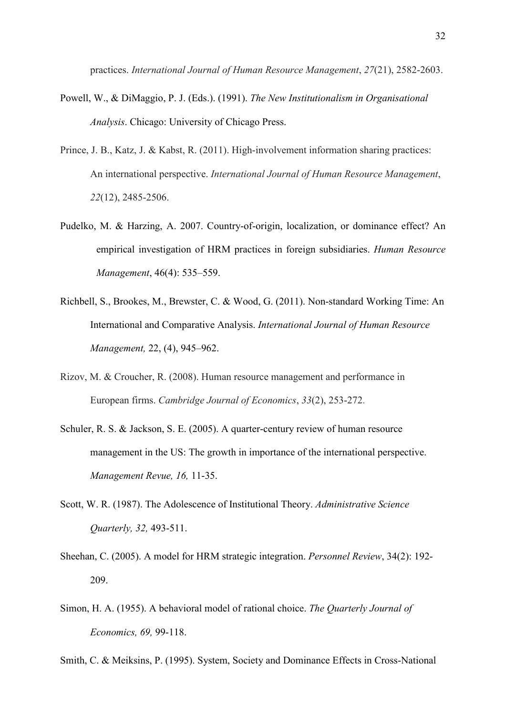practices. *International Journal of Human Resource Management*, *27*(21), 2582-2603.

- Powell, W., & DiMaggio, P. J. (Eds.). (1991). *The New Institutionalism in Organisational Analysis*. Chicago: University of Chicago Press.
- Prince, J. B., Katz, J. & Kabst, R. (2011). High-involvement information sharing practices: An international perspective. *International Journal of Human Resource Management*, *22*(12), 2485-2506.
- Pudelko, M. & Harzing, A. 2007. Country-of-origin, localization, or dominance effect? An empirical investigation of HRM practices in foreign subsidiaries. *Human Resource Management*, 46(4): 535–559.
- Richbell, S., Brookes, M., Brewster, C. & Wood, G. (2011). Non-standard Working Time: An International and Comparative Analysis. *International Journal of Human Resource Management,* 22, (4), 945–962.
- Rizov, M. & Croucher, R. (2008). Human resource management and performance in European firms. *Cambridge Journal of Economics*, *33*(2), 253-272.
- Schuler, R. S. & Jackson, S. E. (2005). A quarter-century review of human resource management in the US: The growth in importance of the international perspective. *Management Revue, 16,* 11-35.
- Scott, W. R. (1987). The Adolescence of Institutional Theory. *Administrative Science Quarterly, 32,* 493-511.
- Sheehan, C. (2005). A model for HRM strategic integration. *Personnel Review*, 34(2): 192- 209.
- Simon, H. A. (1955). A behavioral model of rational choice. *The Quarterly Journal of Economics, 69,* 99-118.
- Smith, C. & Meiksins, P. (1995). System, Society and Dominance Effects in Cross-National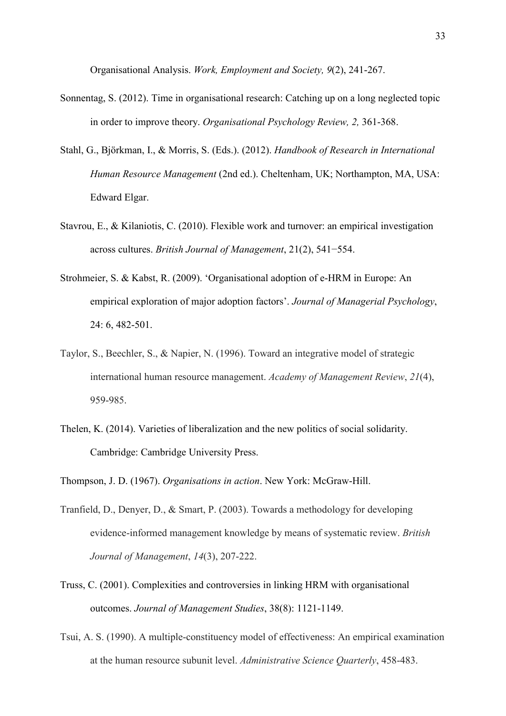Organisational Analysis. *Work, Employment and Society, 9*(2), 241-267.

- Sonnentag, S. (2012). Time in organisational research: Catching up on a long neglected topic in order to improve theory. *Organisational Psychology Review, 2,* 361-368.
- Stahl, G., Björkman, I., & Morris, S. (Eds.). (2012). *Handbook of Research in International Human Resource Management* (2nd ed.). Cheltenham, UK; Northampton, MA, USA: Edward Elgar.
- Stavrou, E., & Kilaniotis, C. (2010). Flexible work and turnover: an empirical investigation across cultures. *British Journal of Management*, 21(2), 541−554.
- Strohmeier, S. & Kabst, R. (2009). 'Organisational adoption of e-HRM in Europe: An empirical exploration of major adoption factors'. *Journal of Managerial Psychology*, 24: 6, 482-501.
- Taylor, S., Beechler, S., & Napier, N. (1996). Toward an integrative model of strategic international human resource management. *Academy of Management Review*, *21*(4), 959-985.
- Thelen, K. (2014). Varieties of liberalization and the new politics of social solidarity. Cambridge: Cambridge University Press.
- Thompson, J. D. (1967). *Organisations in action*. New York: McGraw-Hill.
- Tranfield, D., Denyer, D., & Smart, P. (2003). Towards a methodology for developing evidence‐informed management knowledge by means of systematic review. *British Journal of Management*, *14*(3), 207-222.
- Truss, C. (2001). Complexities and controversies in linking HRM with organisational outcomes. *Journal of Management Studies*, 38(8): 1121-1149.
- Tsui, A. S. (1990). A multiple-constituency model of effectiveness: An empirical examination at the human resource subunit level. *Administrative Science Quarterly*, 458-483.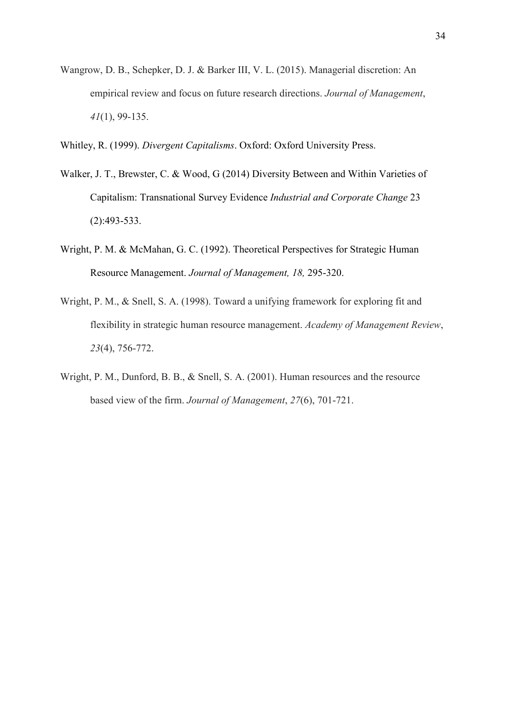- Wangrow, D. B., Schepker, D. J. & Barker III, V. L. (2015). Managerial discretion: An empirical review and focus on future research directions. *Journal of Management*, *41*(1), 99-135.
- Whitley, R. (1999). *Divergent Capitalisms*. Oxford: Oxford University Press.
- Walker, J. T., Brewster, C. & Wood, G (2014) Diversity Between and Within Varieties of Capitalism: Transnational Survey Evidence *Industrial and Corporate Change* 23 (2):493-533.
- Wright, P. M. & McMahan, G. C. (1992). Theoretical Perspectives for Strategic Human Resource Management. *Journal of Management, 18,* 295-320.
- Wright, P. M., & Snell, S. A. (1998). Toward a unifying framework for exploring fit and flexibility in strategic human resource management. *Academy of Management Review*, *23*(4), 756-772.
- Wright, P. M., Dunford, B. B., & Snell, S. A. (2001). Human resources and the resource based view of the firm. *Journal of Management*, *27*(6), 701-721.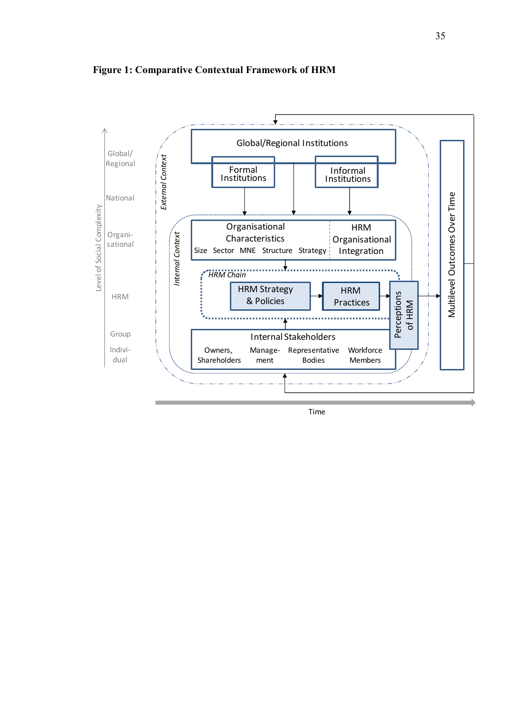**Figure 1: Comparative Contextual Framework of HRM**



Time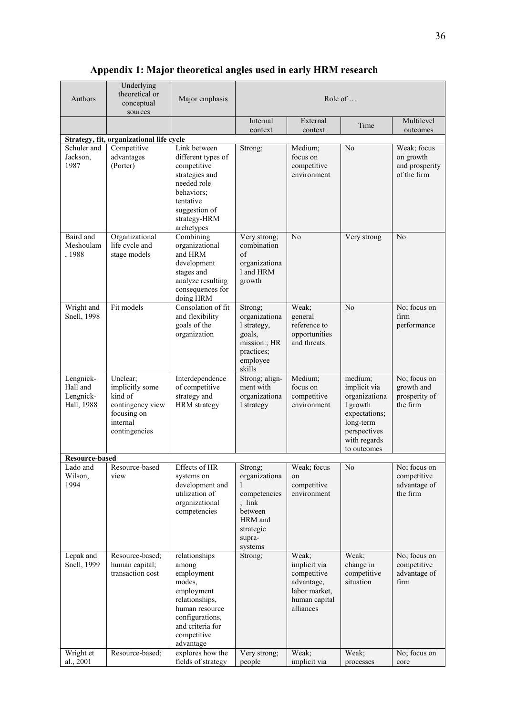| Authors                                          | Underlying<br>theoretical or<br>conceptual<br>sources                                                  | Major emphasis                                                                                                                                                                          | Role of                                                                                                           |                                                                                                   |                                                                                                                                   |                                                                         |  |
|--------------------------------------------------|--------------------------------------------------------------------------------------------------------|-----------------------------------------------------------------------------------------------------------------------------------------------------------------------------------------|-------------------------------------------------------------------------------------------------------------------|---------------------------------------------------------------------------------------------------|-----------------------------------------------------------------------------------------------------------------------------------|-------------------------------------------------------------------------|--|
|                                                  |                                                                                                        |                                                                                                                                                                                         | Internal<br>context                                                                                               | External<br>context                                                                               | Time                                                                                                                              | Multilevel<br>outcomes                                                  |  |
|                                                  | Strategy, fit, organizational life cycle                                                               |                                                                                                                                                                                         |                                                                                                                   |                                                                                                   |                                                                                                                                   |                                                                         |  |
| Schuler and<br>Jackson,<br>1987                  | Competitive<br>advantages<br>(Porter)                                                                  | Link between<br>different types of<br>competitive<br>strategies and<br>needed role<br>behaviors;<br>tentative<br>suggestion of<br>strategy-HRM<br>archetypes                            | Strong;                                                                                                           | Medium;<br>focus on<br>competitive<br>environment                                                 | No                                                                                                                                | Weak; focus<br>on growth<br>and prosperity<br>of the firm               |  |
| Baird and<br>Meshoulam<br>, 1988                 | Organizational<br>life cycle and<br>stage models                                                       | Combining<br>organizational<br>and HRM<br>development<br>stages and<br>analyze resulting<br>consequences for<br>doing HRM                                                               | Very strong;<br>combination<br>of<br>organizationa<br>1 and HRM<br>growth                                         | N <sub>o</sub>                                                                                    | Very strong                                                                                                                       | N <sub>o</sub>                                                          |  |
| Wright and<br>Snell, 1998                        | Fit models                                                                                             | Consolation of fit<br>and flexibility<br>goals of the<br>organization                                                                                                                   | Strong;<br>organizationa<br>l strategy,<br>goals,<br>mission:; HR<br>practices;<br>employee<br>skills             | Weak;<br>general<br>reference to<br>opportunities<br>and threats                                  | No                                                                                                                                | No; focus on<br>firm<br>performance                                     |  |
| Lengnick-<br>Hall and<br>Lengnick-<br>Hall, 1988 | Unclear;<br>implicitly some<br>kind of<br>contingency view<br>focusing on<br>internal<br>contingencies | Interdependence<br>of competitive<br>strategy and<br>HRM strategy                                                                                                                       | Strong; align-<br>ment with<br>organizationa<br>1 strategy                                                        | Medium;<br>focus on<br>competitive<br>environment                                                 | medium;<br>implicit via<br>organizationa<br>1 growth<br>expectations;<br>long-term<br>perspectives<br>with regards<br>to outcomes | No; focus on<br>growth and<br>prosperity of<br>the firm                 |  |
| <b>Resource-based</b>                            |                                                                                                        |                                                                                                                                                                                         |                                                                                                                   |                                                                                                   |                                                                                                                                   |                                                                         |  |
| Lado and<br>Wilson,<br>1994                      | Resource-based<br>view<br>Resource-based;                                                              | Effects of HR<br>systems on<br>development and<br>utilization of<br>organizational<br>competencies                                                                                      | Strong;<br>organizationa<br>1<br>competencies<br>$;$ link<br>between<br>HRM and<br>strategic<br>supra-<br>systems | Weak; focus<br>on<br>competitive<br>environment<br>Weak;                                          | No<br>Weak;                                                                                                                       | No; focus on<br>competitive<br>advantage of<br>the firm<br>No; focus on |  |
| Lepak and<br>Snell, 1999<br>Wright et            | human capital;<br>transaction cost<br>Resource-based;                                                  | relationships<br>among<br>employment<br>modes,<br>employment<br>relationships,<br>human resource<br>configurations,<br>and criteria for<br>competitive<br>advantage<br>explores how the | Strong;<br>Very strong;                                                                                           | implicit via<br>competitive<br>advantage,<br>labor market,<br>human capital<br>alliances<br>Weak; | change in<br>competitive<br>situation<br>Weak;                                                                                    | competitive<br>advantage of<br>firm<br>No; focus on                     |  |
| al., 2001                                        |                                                                                                        | fields of strategy                                                                                                                                                                      | people                                                                                                            | implicit via                                                                                      | processes                                                                                                                         | core                                                                    |  |

# **Appendix 1: Major theoretical angles used in early HRM research**